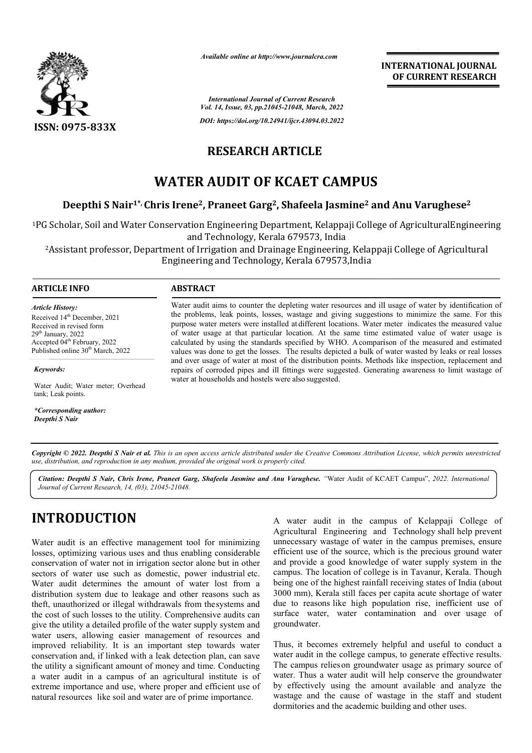

*Available online at http://www.journalcra.com*

*International Journal of Current Research Vol. 14, Issue, 03, pp.21045-21048, March, 2022*

*DOI: https://doi.org/10.24941/ijcr.43094.03.2022*

### **RESEARCH ARTICLE**

# **WATER AUDIT OF KCAET CAMPUS**

### **Deepthi S Nair1\*, Chris Irene Irene2, Praneet Garg2, Shafeela Jasmine2 and Anu Varughese2**

<sup>1</sup>PG Scholar, Soil and Water Conservation Engineering Department, Kelappaji College of AgriculturalEngineering and Technology, Kerala 679573, India

<sup>2</sup>Assistant professor, Department of Irrigation and Drainage Engineering, Kelappaji College of Agricultural Engineering and Technology, Kerala 679573,India

### **ARTICLE INFO ABSTRACT**

*Article History:* Received 14<sup>th</sup> December, 2021 Received in revised form  $29<sup>th</sup>$  January,  $2022$ Accepted 04<sup>th</sup> February, 2022 Published online 30<sup>th</sup> March, 2022

*Keywords: Keywords:*

Water Audit; Water meter; Overhead tank; Leak points.

*\*Corresponding author: \*Corresponding author: Oldemar de Oliveira Carvalho-Junior Deepthi S Nair* Water audit aims to counter the depleting water resources and ill usage of water by identification of the problems, leak points, losses, wastage and giving suggestions to minimize the same. For this purpose water meters were installed at different locations. Water meter indicates the measured value of water usage at that particular location. At the same time estimated value of water usage is calculated by using the standards specified by WHO. A Acomparison of the measured and estimated calculated by using the standards specified by WHO. A comparison of the measured and estimated values was done to get the losses. The results depicted a bulk of water wasted by leaks or real losses and over usage of water at most of the distribution points. Methods like inspection, replacement and repairs of corroded pipes and ill fittings were suggested. Generating awareness to limit wastage of water at households and hostels were also suggested.

Copyright © 2022. Deepthi S Nair et al. This is an open access article distributed under the Creative Commons Attribution License, which permits unrestricted *use, distribution, and reproduction in any medium, provided the original work is properly cited.*

Citation: Deepthi S Nair, Chris Irene, Praneet Garg, Shafeela Jasmine and Anu Varughese. "Water Audit of KCAET Campus", 2022. International *Journal of Current Research, 14, (03), 21045-21048.*

# **INTRODUCTION**

Water audit is an effective management tool for minimizing losses, optimizing various uses and thus enabling considerable conservation of water not in irrigation sector alone but in other sectors of water use such as domestic, power industrial etc. Water audit determines the amount of water lost from a distribution system due to leakage and other reasons such as theft, unauthorized or illegal withdrawals from thesystems and the cost of such losses to the utility. Comprehensive audits can give the utility a detailed profile of the water supply system and water users, allowing easier management of resources and improved reliability. It is an important step towards water conservation and, if linked with a leak detection plan, can save the utility a significant amount of money and time. Conducting a water audit in a campus of an agricultural institute is of extreme importance and use, where proper and efficient use of natural resources like soil and water are of prime importance.

A water audit in the campus of Kelappaji College of Agricultural Engineering and Technology shall help prevent unnecessary wastage of water in the campus premises, ensure efficient use of the source, which is the precious ground water and provide a good knowledge of water supply system in the campus. The location of college is in Tavanur, Kerala. Though being one of the highest rainfall receiving states of India (about 3000 mm), Kerala still faces per capita acute shortage of water due to reasons like high population rise, inefficient use of surface water, water contamination and over usage of groundwater.

**INTERNATIONAL JOURNAL**

**OF CURRENT RESEARCH**

Thus, it becomes extremely helpful and useful to conduct a water audit in the college campus, to generate effective results. The campus relieson groundwater usage as primary source of The campus relies on groundwater usage as primary source of water. Thus a water audit will help conserve the groundwater by effectively using the amount available and analyze the wastage and the cause of wastage in the staff and student dormitories and the academic building and other uses.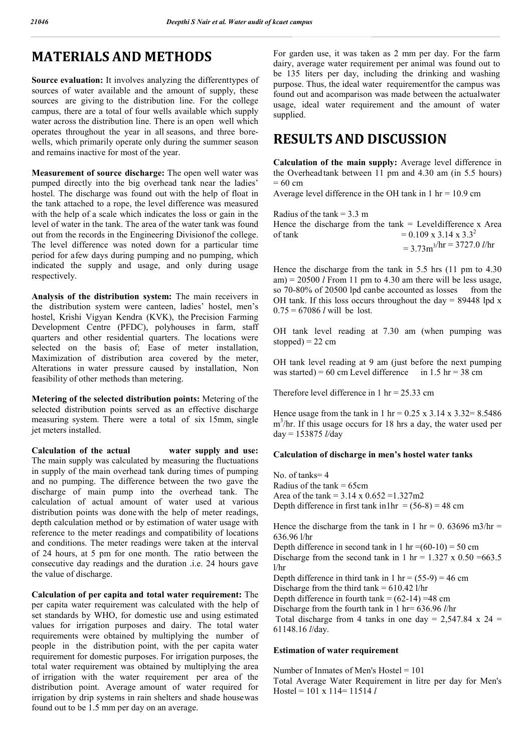# **MATERIALS AND METHODS**

**Source evaluation:** It involves analyzing the differenttypes of sources of water available and the amount of supply, these sources are giving to the distribution line. For the college campus, there are a total of four wells available which supply water across the distribution line. There is an open well which operates throughout the year in all seasons, and three borewells, which primarily operate only during the summer season and remains inactive for most of the year.

**Measurement of source discharge:** The open well water was pumped directly into the big overhead tank near the ladies' hostel. The discharge was found out with the help of float in the tank attached to a rope, the level difference was measured with the help of a scale which indicates the loss or gain in the level of water in the tank. The area of the water tank was found out from the records in the Engineering Divisionof the college. The level difference was noted down for a particular time period for afew days during pumping and no pumping, which indicated the supply and usage, and only during usage respectively.

**Analysis of the distribution system:** The main receivers in the distribution system were canteen, ladies' hostel, men's hostel, Krishi Vigyan Kendra (KVK), the Precision Farming Development Centre (PFDC), polyhouses in farm, staff quarters and other residential quarters. The locations were selected on the basis of; Ease of meter installation, Maximization of distribution area covered by the meter, Alterations in water pressure caused by installation, Non feasibility of other methods than metering.

**Metering of the selected distribution points:** Metering of the selected distribution points served as an effective discharge measuring system. There were a total of six 15mm, single jet meters installed.

**Calculation of the actual water supply and use:** The main supply was calculated by measuring the fluctuations in supply of the main overhead tank during times of pumping and no pumping. The difference between the two gave the discharge of main pump into the overhead tank. The calculation of actual amount of water used at various distribution points was done with the help of meter readings, depth calculation method or by estimation of water usage with reference to the meter readings and compatibility of locations and conditions. The meter readings were taken at the interval of 24 hours, at 5 pm for one month. The ratio between the consecutive day readings and the duration .i.e. 24 hours gave the value of discharge.

**Calculation of per capita and total water requirement:** The per capita water requirement was calculated with the help of set standards by WHO, for domestic use and using estimated values for irrigation purposes and dairy. The total water requirements were obtained by multiplying the number of people in the distribution point, with the per capita water requirement for domestic purposes. For irrigation purposes, the total water requirement was obtained by multiplying the area of irrigation with the water requirement per area of the distribution point. Average amount of water required for irrigation by drip systems in rain shelters and shade housewas found out to be 1.5 mm per day on an average.

For garden use, it was taken as 2 mm per day. For the farm dairy, average water requirement per animal was found out to be 135 liters per day, including the drinking and washing purpose. Thus, the ideal water requirementfor the campus was found out and acomparison was made between the actualwater usage, ideal water requirement and the amount of water supplied.

## **RESULTS AND DISCUSSION**

**Calculation of the main supply:** Average level difference in the Overheadtank between 11 pm and 4.30 am (in 5.5 hours)  $= 60$  cm

Average level difference in the OH tank in  $1 \text{ hr} = 10.9 \text{ cm}$ 

Radius of the tank  $= 3.3$  m

Hence the discharge from the  $tanh = Level difference x$  Area of tank  $= 0.109 \times 3.14 \times 3.3^2$ 

<sup>=</sup> 3.73m3/hr = 3727.0 *<sup>l</sup>*/hr

Hence the discharge from the tank in 5.5 hrs (11 pm to 4.30 am) =  $20500$  *l* From 11 pm to 4.30 am there will be less usage, so 70-80% of 20500 lpd canbe accounted as losses from the OH tank. If this loss occurs throughout the day =  $89448$  lpd x  $0.75 = 67086$  *l* will be lost.

OH tank level reading at 7.30 am (when pumping was stopped) =  $22 \text{ cm}$ 

OH tank level reading at 9 am (just before the next pumping was started) = 60 cm Level difference in 1.5 hr = 38 cm

Therefore level difference in 1 hr =  $25.33$  cm

Hence usage from the tank in 1 hr =  $0.25 \times 3.14 \times 3.32 = 8.5486$ m<sup>3</sup>/hr. If this usage occurs for 18 hrs a day, the water used per day = 153875 *l/*day

#### **Calculation of discharge in men's hostel water tanks**

No. of tanks= 4 Radius of the  $tanh = 65cm$ Area of the tank =  $3.14 \times 0.652 = 1.327 \text{m}2$ Depth difference in first tank in1hr =  $(56-8) = 48$  cm

Hence the discharge from the tank in 1 hr = 0. 63696 m3/hr = 636.96 l/hr Depth difference in second tank in 1 hr = $(60-10) = 50$  cm Discharge from the second tank in 1 hr =  $1.327 \times 0.50 = 663.5$ l/hr Depth difference in third tank in 1 hr =  $(55-9) = 46$  cm Discharge from the third tank = 610.42 l/hr Depth difference in fourth tank =  $(62-14)$  =48 cm Discharge from the fourth tank in 1 hr= 636.96 *l*/hr Total discharge from 4 tanks in one day =  $2,547.84 \times 24 =$ 61148.16 *l*/day.

#### **Estimation of water requirement**

Number of Inmates of Men's Hostel = 101 Total Average Water Requirement in litre per day for Men's Hostel = 101 x 114= 11514 *l*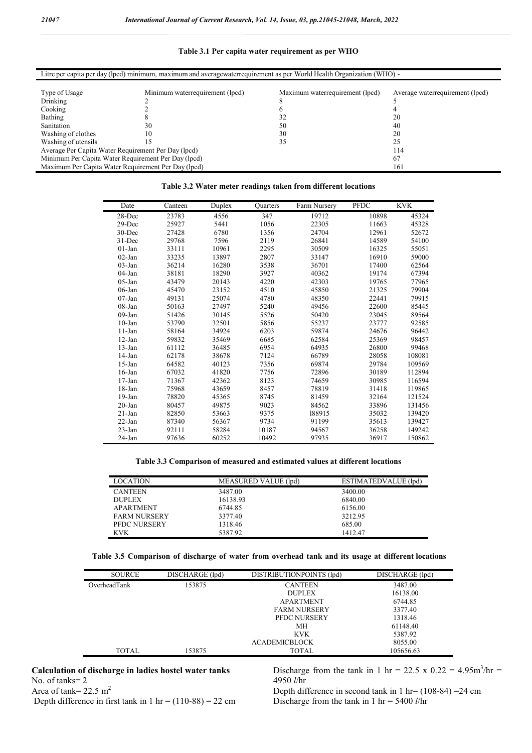#### **Table 3.1 Per capita water requirement as per WHO**

| Litre per capita per day (lpcd) minimum, maximum and averagewaterrequirement as per World Health Organization (WHO) - |                                 |                                 |                                 |  |  |  |  |  |
|-----------------------------------------------------------------------------------------------------------------------|---------------------------------|---------------------------------|---------------------------------|--|--|--|--|--|
|                                                                                                                       |                                 |                                 |                                 |  |  |  |  |  |
| Type of Usage                                                                                                         | Minimum waterrequirement (lpcd) | Maximum waterrequirement (lpcd) | Average waterrequirement (lpcd) |  |  |  |  |  |
| Drinking                                                                                                              |                                 |                                 |                                 |  |  |  |  |  |
| Cooking                                                                                                               |                                 |                                 |                                 |  |  |  |  |  |
| Bathing                                                                                                               |                                 |                                 | 20                              |  |  |  |  |  |
| Sanitation                                                                                                            | 30                              | 50                              | 40                              |  |  |  |  |  |
| Washing of clothes                                                                                                    | $\theta$                        | 30                              | 20                              |  |  |  |  |  |
| Washing of utensils                                                                                                   |                                 | 35                              | 25                              |  |  |  |  |  |
| Average Per Capita Water Requirement Per Day (lpcd)<br>114                                                            |                                 |                                 |                                 |  |  |  |  |  |
| Minimum Per Capita Water Requirement Per Day (lpcd)<br>67                                                             |                                 |                                 |                                 |  |  |  |  |  |
| Maximum Per Capita Water Requirement Per Day (lpcd)<br>161                                                            |                                 |                                 |                                 |  |  |  |  |  |

#### **Table 3.2 Water meter readings taken from different locations**

| Date       | Canteen | Duplex | <b>Quarters</b> | Farm Nursery | <b>PFDC</b> | <b>KVK</b> |
|------------|---------|--------|-----------------|--------------|-------------|------------|
| $28 - Dec$ | 23783   | 4556   | 347             | 19712        | 10898       | 45324      |
| $29$ -Dec  | 25927   | 5441   | 1056            | 22305        | 11663       | 45328      |
| 30-Dec     | 27428   | 6780   | 1356            | 24704        | 12961       | 52672      |
| 31-Dec     | 29768   | 7596   | 2119            | 26841        | 14589       | 54100      |
| $01$ -Jan  | 33111   | 10961  | 2295            | 30509        | 16325       | 55051      |
| $02$ -Jan  | 33235   | 13897  | 2807            | 33147        | 16910       | 59000      |
| $03$ -Jan  | 36214   | 16280  | 3538            | 36701        | 17400       | 62564      |
| $04$ -Jan  | 38181   | 18290  | 3927            | 40362        | 19174       | 67394      |
| $05$ -Jan  | 43479   | 20143  | 4220            | 42303        | 19765       | 77965      |
| $06$ -Jan  | 45470   | 23152  | 4510            | 45850        | 21325       | 79904      |
| $07$ -Jan  | 49131   | 25074  | 4780            | 48350        | 22441       | 79915      |
| $08$ -Jan  | 50163   | 27497  | 5240            | 49456        | 22600       | 85445      |
| $09$ -Jan  | 51426   | 30145  | 5526            | 50420        | 23045       | 89564      |
| $10$ -Jan  | 53790   | 32501  | 5856            | 55237        | 23777       | 92585      |
| $11$ -Jan  | 58164   | 34924  | 6203            | 59874        | 24676       | 96442      |
| $12-Jan$   | 59832   | 35469  | 6685            | 62584        | 25369       | 98457      |
| $13$ -Jan  | 61112   | 36485  | 6954            | 64935        | 26800       | 99468      |
| $14$ -Jan  | 62178   | 38678  | 7124            | 66789        | 28058       | 108081     |
| $15$ -Jan  | 64582   | 40123  | 7356            | 69874        | 29784       | 109569     |
| $16$ -Jan  | 67032   | 41820  | 7756            | 72896        | 30189       | 112894     |
| $17$ -Jan  | 71367   | 42362  | 8123            | 74659        | 30985       | 116594     |
| 18-Jan     | 75968   | 43659  | 8457            | 78819        | 31418       | 119865     |
| $19-Ian$   | 78820   | 45365  | 8745            | 81459        | 32164       | 121524     |
| $20$ -Jan  | 80457   | 49875  | 9023            | 84562        | 33896       | 131456     |
| $21$ -Jan  | 82850   | 53663  | 9375            | 188915       | 35032       | 139420     |
| 22-Jan     | 87340   | 56367  | 9734            | 91199        | 35613       | 139427     |
| 23-Jan     | 92111   | 58284  | 10187           | 94567        | 36258       | 149242     |
| 24-Jan     | 97636   | 60252  | 10492           | 97935        | 36917       | 150862     |

**Table 3.3 Comparison of measured and estimated values at different locations**

| <b>LOCATION</b>     | MEASURED VALUE (lpd) | ESTIMATEDVALUE (lpd) |
|---------------------|----------------------|----------------------|
| <b>CANTEEN</b>      | 3487.00              | 3400.00              |
| <b>DUPLEX</b>       | 16138.93             | 6840.00              |
| <b>APARTMENT</b>    | 6744.85              | 6156.00              |
| <b>FARM NURSERY</b> | 3377.40              | 3212.95              |
| <b>PFDC NURSERY</b> | 1318.46              | 685.00               |
| <b>KVK</b>          | 5387.92              | 1412.47              |

| Table 3.5 Comparison of discharge of water from overhead tank and its usage at different locations |  |  |  |  |  |  |  |
|----------------------------------------------------------------------------------------------------|--|--|--|--|--|--|--|
|                                                                                                    |  |  |  |  |  |  |  |

| <b>SOURCE</b> | DISCHARGE (lpd) | DISTRIBUTIONPOINTS (lpd) | DISCHARGE (lpd) |
|---------------|-----------------|--------------------------|-----------------|
| OverheadTank  | 153875          | <b>CANTEEN</b>           | 3487.00         |
|               |                 | <b>DUPLEX</b>            | 16138.00        |
|               |                 | <b>APARTMENT</b>         | 6744.85         |
|               |                 | <b>FARM NURSERY</b>      | 3377.40         |
|               |                 | <b>PFDC NURSERY</b>      | 1318.46         |
|               |                 | MH                       | 61148.40        |
|               |                 | <b>KVK</b>               | 5387.92         |
|               |                 | <b>ACADEMICBLOCK</b>     | 8055.00         |
| TOTAL.        | 153875          | TOTAL                    | 105656.63       |

#### **Calculation of discharge in ladies hostel water tanks**  No. of tanks= 2

4950 *l*/hr Depth difference in second tank in  $1 \text{ hr} = (108-84) = 24 \text{ cm}$ 

Area of tank=  $22.5 \text{ m}^2$ Depth difference in first tank in  $1 \text{ hr} = (110-88) = 22 \text{ cm}$ 

Discharge from the tank in 1 hr = 5400 *l*/hr

Discharge from the tank in 1 hr = 22.5 x  $0.22 = 4.95 \text{m}^3/\text{hr} =$